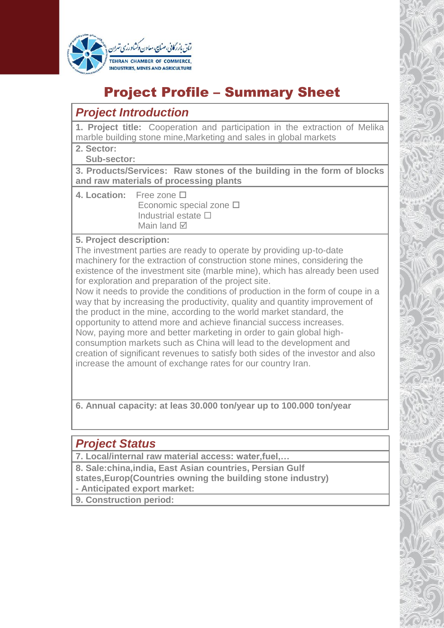

# Project Profile – Summary Sheet

## *Project Introduction*

**1. Project title:** Cooperation and participation in the extraction of Melika marble building stone mine,Marketing and sales in global markets

**2. Sector:** 

 **Sub-sector:**

**3. Products/Services: Raw stones of the building in the form of blocks and raw materials of processing plants**

**4. Location:** Free zone Economic special zone  $\square$ Industrial estate  $\square$ Main land **Ø** 

#### **5. Project description:**

The investment parties are ready to operate by providing up-to-date machinery for the extraction of construction stone mines, considering the existence of the investment site (marble mine), which has already been used for exploration and preparation of the project site.

Now it needs to provide the conditions of production in the form of coupe in a way that by increasing the productivity, quality and quantity improvement of the product in the mine, according to the world market standard, the opportunity to attend more and achieve financial success increases. Now, paying more and better marketing in order to gain global highconsumption markets such as China will lead to the development and creation of significant revenues to satisfy both sides of the investor and also increase the amount of exchange rates for our country Iran.

**6. Annual capacity: at leas 30.000 ton/year up to 100.000 ton/year**

### *Project Status*

**7. Local/internal raw material access: water,fuel,…**

- **8. Sale:china,india, East Asian countries, Persian Gulf states,Europ(Countries owning the building stone industry)**
- **- Anticipated export market:**

**9. Construction period:**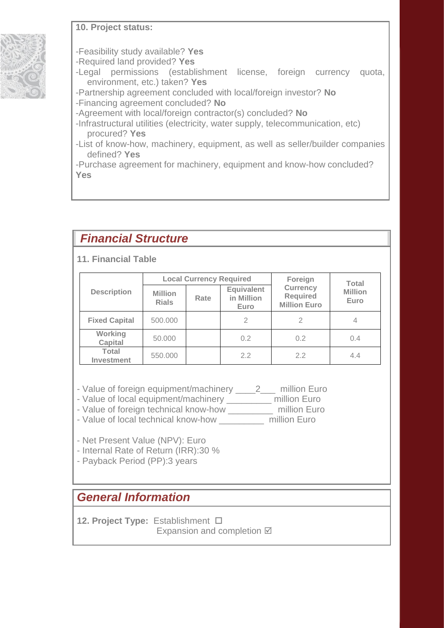#### **10. Project status:**



- -Feasibility study available? **Yes**
- -Required land provided? **Yes**
- -Legal permissions (establishment license, foreign currency quota, environment, etc.) taken? **Yes**
- -Partnership agreement concluded with local/foreign investor? **No**
- -Financing agreement concluded? **No**
- -Agreement with local/foreign contractor(s) concluded? **No**
- -Infrastructural utilities (electricity, water supply, telecommunication, etc) procured? **Yes**
- -List of know-how, machinery, equipment, as well as seller/builder companies defined? **Yes**
- -Purchase agreement for machinery, equipment and know-how concluded? **Yes**

### *Financial Structure*

#### **11. Financial Table**

| <b>Description</b>         | <b>Local Currency Required</b> |      |                                         | Foreign                                            | <b>Total</b>           |
|----------------------------|--------------------------------|------|-----------------------------------------|----------------------------------------------------|------------------------|
|                            | <b>Million</b><br><b>Rials</b> | Rate | <b>Equivalent</b><br>in Million<br>Euro | <b>Currency</b><br>Required<br><b>Million Euro</b> | <b>Million</b><br>Euro |
| <b>Fixed Capital</b>       | 500.000                        |      | $\mathfrak{D}$                          | $\mathfrak{D}$                                     | 4                      |
| Working<br><b>Capital</b>  | 50.000                         |      | 0.2                                     | 0.2                                                | 0.4                    |
| Total<br><b>Investment</b> | 550,000                        |      | 2.2                                     | 22                                                 | 4.4                    |

- Value of foreign equipment/machinery \_\_\_\_\_2\_\_\_ million Euro
- Value of local equipment/machinery \_\_\_\_\_\_\_\_\_ million Euro
- Value of foreign technical know-how \_\_\_\_\_\_\_\_\_ million Euro
- Value of local technical know-how \_\_\_\_\_\_\_\_\_ million Euro

- Net Present Value (NPV): Euro

- Internal Rate of Return (IRR):30 %
- Payback Period (PP):3 years

## *General Information*

**12. Project Type:** Establishment Expansion and completion  $\boxtimes$